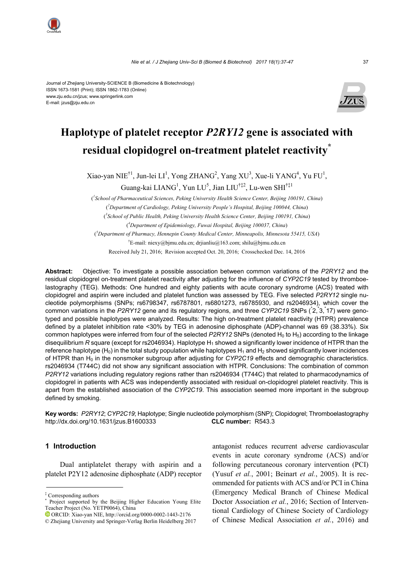

# **Haplotype of platelet receptor** *P2RY12* **gene is associated with residual clopidogrel on-treatment platelet reactivity\***

Xiao-yan NIE<sup>†1</sup>, Jun-lei LI<sup>1</sup>, Yong ZHANG<sup>2</sup>, Yang XU<sup>3</sup>, Xue-li YANG<sup>4</sup>, Yu FU<sup>1</sup>,

Guang-kai LIANG<sup>1</sup>, Yun LU<sup>5</sup>, Jian LIU<sup>†‡2</sup>, Lu-wen SHI<sup>†‡1</sup>

( *1 School of Pharmaceutical Sciences, Peking University Health Science Center, Beijing 100191, China*) ( *2 Department of Cardiology, Peking University People's Hospital, Beijing 100044, China*)

( *3 School of Public Health, Peking University Health Science Center, Beijing 100191, China*) ( *4 Department of Epidemiology, Fuwai Hospital, Beijing 100037, China*)

( *5 Department of Pharmacy, Hennepin County Medical Center, Minneapolis, Minnesota 55415, USA*)

† E-mail: niexy@bjmu.edu.cn; drjianliu@163.com; shilu@bjmu.edu.cn

Received July 21, 2016; Revision accepted Oct. 20, 2016; Crosschecked Dec. 14, 2016

**Abstract:** Objective: To investigate a possible association between common variations of the *P2RY12* and the residual clopidogrel on-treatment platelet reactivity after adjusting for the influence of *CYP2C19* tested by thromboelastography (TEG). Methods: One hundred and eighty patients with acute coronary syndrome (ACS) treated with clopidogrel and aspirin were included and platelet function was assessed by TEG. Five selected *P2RY12* single nucleotide polymorphisms (SNPs; rs6798347, rs6787801, rs6801273, rs6785930, and rs2046934), which cover the common variations in the P2RY12 gene and its regulatory regions, and three CYP2C19 SNPs (2, 3, 17) were genotyped and possible haplotypes were analyzed. Results: The high on-treatment platelet reactivity (HTPR) prevalence defined by a platelet inhibition rate <30% by TEG in adenosine diphosphate (ADP)-channel was 69 (38.33%). Six common haplotypes were inferred from four of the selected *P2RY12* SNPs (denoted H<sub>0</sub> to H<sub>5</sub>) according to the linkage disequilibrium *R* square (except for rs2046934). Haplotype H<sub>1</sub> showed a significantly lower incidence of HTPR than the reference haplotype (H<sub>0</sub>) in the total study population while haplotypes H<sub>1</sub> and H<sub>2</sub> showed significantly lower incidences of HTPR than H<sub>0</sub> in the nonsmoker subgroup after adjusting for *CYP2C19* effects and demographic characteristics. rs2046934 (T744C) did not show any significant association with HTPR. Conclusions: The combination of common *P2RY12* variations including regulatory regions rather than rs2046934 (T744C) that related to pharmacodynamics of clopidogrel in patients with ACS was independently associated with residual on-clopidogrel platelet reactivity. This is apart from the established association of the *CYP2C19*. This association seemed more important in the subgroup defined by smoking.

**Key words:** *P2RY12*; *CYP2C19*; Haplotype; Single nucleotide polymorphism (SNP); Clopidogrel; Thromboelastography http://dx.doi.org/10.1631/jzus.B1600333 **CLC number:** R543.3

## **1 Introduction**

Dual antiplatelet therapy with aspirin and a platelet P2Y12 adenosine diphosphate (ADP) receptor

‡ Corresponding authors \*

antagonist reduces recurrent adverse cardiovascular events in acute coronary syndrome (ACS) and/or following percutaneous coronary intervention (PCI) (Yusuf *et al.*, 2001; Beinart *et al.*, 2005). It is recommended for patients with ACS and/or PCI in China (Emergency Medical Branch of Chinese Medical Doctor Association *et al.*, 2016; Section of Interventional Cardiology of Chinese Society of Cardiology of Chinese Medical Association *et al.*, 2016) and



Project supported by the Beijing Higher Education Young Elite Teacher Project (No. YETP0064), China

ORCID: Xiao-yan NIE, http://orcid.org/0000-0002-1443-2176 © Zhejiang University and Springer-Verlag Berlin Heidelberg 2017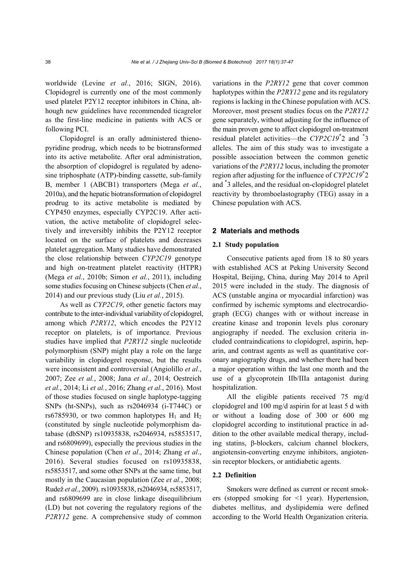worldwide (Levine *et al.*, 2016; SIGN, 2016). Clopidogrel is currently one of the most commonly used platelet P2Y12 receptor inhibitors in China, although new guidelines have recommended ticagrelor as the first-line medicine in patients with ACS or following PCI.

Clopidogrel is an orally administered thienopyridine prodrug, which needs to be biotransformed into its active metabolite. After oral administration, the absorption of clopidogrel is regulated by adenosine triphosphate (ATP)-binding cassette, sub-family B, member 1 (ABCB1) transporters (Mega *et al.*, 2010a), and the hepatic biotransformation of clopidogrel prodrug to its active metabolite is mediated by CYP450 enzymes, especially CYP2C19. After activation, the active metabolite of clopidogrel selectively and irreversibly inhibits the P2Y12 receptor located on the surface of platelets and decreases platelet aggregation. Many studies have demonstrated the close relationship between *CYP2C19* genotype and high on-treatment platelet reactivity (HTPR) (Mega *et al.*, 2010b; Simon *et al.*, 2011), including some studies focusing on Chinese subjects (Chen *et al.*, 2014) and our previous study (Liu *et al.*, 2015).

As well as *CYP2C19*, other genetic factors may contribute to the inter-individual variability of clopidogrel, among which *P2RY12*, which encodes the P2Y12 receptor on platelets, is of importance. Previous studies have implied that *P2RY12* single nucleotide polymorphism (SNP) might play a role on the large variability in clopidogrel response, but the results were inconsistent and controversial (Angiolillo *et al.*, 2007; Zee *et al.*, 2008; Jana *et al.*, 2014; Oestreich *et al.*, 2014; Li *et al.*, 2016; Zhang *et al.*, 2016). Most of those studies focused on single haplotype-tagging SNPs (ht-SNPs), such as rs2046934 (i-T744C) or rs6785930, or two common haplotypes  $H_1$  and  $H_2$ (constituted by single nucleotide polymorphism database (dbSNP) rs10935838, rs2046934, rs5853517, and rs6809699), especially the previous studies in the Chinese population (Chen *et al*., 2014; Zhang *et al*., 2016). Several studies focused on rs10935838, rs5853517, and some other SNPs at the same time, but mostly in the Caucasian population (Zee *et al.*, 2008; Rudež *et al.*, 2009). rs10935838, rs2046934, rs5853517, and rs6809699 are in close linkage disequilibrium (LD) but not covering the regulatory regions of the *P2RY12* gene. A comprehensive study of common

variations in the *P2RY12* gene that cover common haplotypes within the *P2RY12* gene and its regulatory regions is lacking in the Chinese population with ACS. Moreover, most present studies focus on the *P2RY12* gene separately, without adjusting for the influence of the main proven gene to affect clopidogrel on-treatment residual platelet activities—the *CYP2C19*\* 2 and \* 3 alleles. The aim of this study was to investigate a possible association between the common genetic variations of the *P2RY12* locus, including the promoter region after adjusting for the influence of *CYP2C19*\* 2 and \* 3 alleles, and the residual on-clopidogrel platelet reactivity by thromboelastography (TEG) assay in a Chinese population with ACS.

## **2 Materials and methods**

#### **2.1 Study population**

Consecutive patients aged from 18 to 80 years with established ACS at Peking University Second Hospital, Beijing, China, during May 2014 to April 2015 were included in the study. The diagnosis of ACS (unstable angina or myocardial infarction) was confirmed by ischemic symptoms and electrocardiograph (ECG) changes with or without increase in creatine kinase and troponin levels plus coronary angiography if needed. The exclusion criteria included contraindications to clopidogrel, aspirin, heparin, and contrast agents as well as quantitative coronary angiography drugs, and whether there had been a major operation within the last one month and the use of a glycoprotein IIb/IIIa antagonist during hospitalization.

All the eligible patients received 75 mg/d clopidogrel and 100 mg/d aspirin for at least 5 d with or without a loading dose of 300 or 600 mg clopidogrel according to institutional practice in addition to the other available medical therapy, including statins, β-blockers, calcium channel blockers, angiotensin-converting enzyme inhibitors, angiotensin receptor blockers, or antidiabetic agents.

#### **2.2 Definition**

Smokers were defined as current or recent smokers (stopped smoking for  $\leq 1$  year). Hypertension, diabetes mellitus, and dyslipidemia were defined according to the World Health Organization criteria.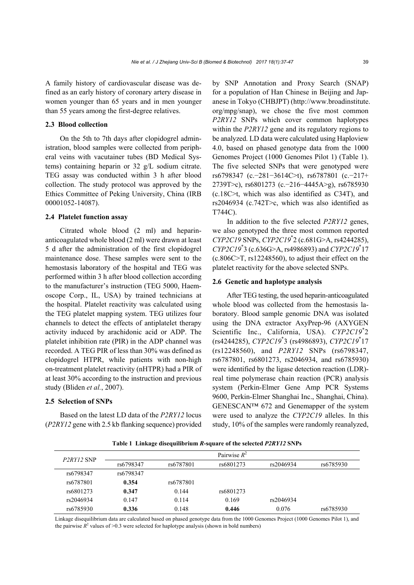A family history of cardiovascular disease was defined as an early history of coronary artery disease in women younger than 65 years and in men younger than 55 years among the first-degree relatives.

## **2.3 Blood collection**

On the 5th to 7th days after clopidogrel administration, blood samples were collected from peripheral veins with vacutainer tubes (BD Medical Systems) containing heparin or 32 g/L sodium citrate. TEG assay was conducted within 3 h after blood collection. The study protocol was approved by the Ethics Committee of Peking University, China (IRB 00001052-14087).

## **2.4 Platelet function assay**

Citrated whole blood (2 ml) and heparinanticoagulated whole blood (2 ml) were drawn at least 5 d after the administration of the first clopidogrel maintenance dose. These samples were sent to the hemostasis laboratory of the hospital and TEG was performed within 3 h after blood collection according to the manufacturer's instruction (TEG 5000, Haemoscope Corp., IL, USA) by trained technicians at the hospital. Platelet reactivity was calculated using the TEG platelet mapping system. TEG utilizes four channels to detect the effects of antiplatelet therapy activity induced by arachidonic acid or ADP. The platelet inhibition rate (PIR) in the ADP channel was recorded. A TEG PIR of less than 30% was defined as clopidogrel HTPR, while patients with non-high on-treatment platelet reactivity (nHTPR) had a PIR of at least 30% according to the instruction and previous study (Bliden *et al.*, 2007).

#### **2.5 Selection of SNPs**

Based on the latest LD data of the *P2RY12* locus (*P2RY12* gene with 2.5 kb flanking sequence) provided by SNP Annotation and Proxy Search (SNAP) for a population of Han Chinese in Beijing and Japanese in Tokyo (CHBJPT) (http://www.broadinstitute. org/mpg/snap), we chose the five most common *P2RY12* SNPs which cover common haplotypes within the *P2RY12* gene and its regulatory regions to be analyzed. LD data were calculated using Haploview 4.0, based on phased genotype data from the 1000 Genomes Project (1000 Genomes Pilot 1) (Table 1). The five selected SNPs that were genotyped were rs6798347 (c.−281−3614C>t), rs6787801 (c.−217+ 2739T>c), rs6801273 (c.−216−4445A>g), rs6785930 (c.18C>t, which was also identified as C34T), and rs2046934 (c.742T>c, which was also identified as T744C).

In addition to the five selected *P2RY12* genes, we also genotyped the three most common reported *CYP2C19* SNPs, *CYP2C19*\* 2 (c.681G>A, rs4244285), *CYP2C19*\* 3 (c.636G>A, rs4986893) and *CYP2C19*\* 17 (c.806C>T, rs12248560), to adjust their effect on the platelet reactivity for the above selected SNPs.

#### **2.6 Genetic and haplotype analysis**

After TEG testing, the used heparin-anticoagulated whole blood was collected from the hemostasis laboratory. Blood sample genomic DNA was isolated using the DNA extractor AxyPrep-96 (AXYGEN Scientific Inc., California, USA). *CYP2C19*\* 2 (rs4244285), *CYP2C19*\* 3 (rs4986893), *CYP2C19*\* 17 (rs12248560), and *P2RY12* SNPs (rs6798347, rs6787801, rs6801273, rs2046934, and rs6785930) were identified by the ligase detection reaction (LDR) real time polymerase chain reaction (PCR) analysis system (Perkin-Elmer Gene Amp PCR Systems 9600, Perkin-Elmer Shanghai Inc., Shanghai, China). GENESCAN™ 672 and Genemapper of the system were used to analyze the *CYP2C19* alleles. In this study, 10% of the samples were randomly reanalyzed,

**Table 1 Linkage disequilibrium** *R***-square of the selected** *P2RY12* **SNPs**

| P <sub>2</sub> RY <sub>12</sub> SNP |           |           | Pairwise $R^2$ |           |           |
|-------------------------------------|-----------|-----------|----------------|-----------|-----------|
|                                     | rs6798347 | rs6787801 | rs6801273      | rs2046934 | rs6785930 |
| rs6798347                           | rs6798347 |           |                |           |           |
| rs6787801                           | 0.354     | rs6787801 |                |           |           |
| rs6801273                           | 0.347     | 0.144     | rs6801273      |           |           |
| rs2046934                           | 0.147     | 0.114     | 0.169          | rs2046934 |           |
| rs6785930                           | 0.336     | 0.148     | 0.446          | 0.076     | rs6785930 |

Linkage disequilibrium data are calculated based on phased genotype data from the 1000 Genomes Project (1000 Genomes Pilot 1), and the pairwise  $R^2$  values of  $\geq 0.3$  were selected for haplotype analysis (shown in bold numbers)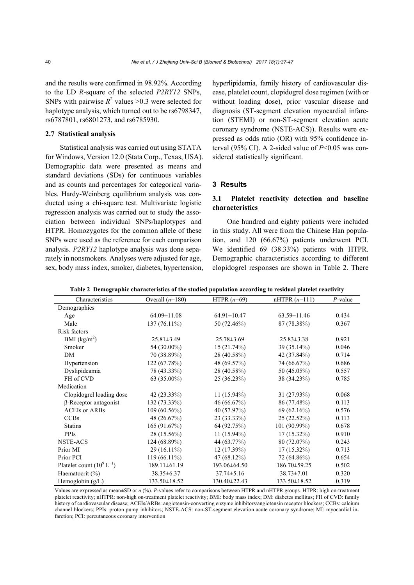and the results were confirmed in 98.92%. According to the LD *R*-square of the selected *P2RY12* SNPs, SNPs with pairwise  $R^2$  values >0.3 were selected for haplotype analysis, which turned out to be rs6798347, rs6787801, rs6801273, and rs6785930.

### **2.7 Statistical analysis**

Statistical analysis was carried out using STATA for Windows, Version 12.0 (Stata Corp., Texas, USA). Demographic data were presented as means and standard deviations (SDs) for continuous variables and as counts and percentages for categorical variables. Hardy-Weinberg equilibrium analysis was conducted using a chi-square test. Multivariate logistic regression analysis was carried out to study the association between individual SNPs/haplotypes and HTPR. Homozygotes for the common allele of these SNPs were used as the reference for each comparison analysis. *P2RY12* haplotype analysis was done separately in nonsmokers. Analyses were adjusted for age, sex, body mass index, smoker, diabetes, hypertension, hyperlipidemia, family history of cardiovascular disease, platelet count, clopidogrel dose regimen (with or without loading dose), prior vascular disease and diagnosis (ST-segment elevation myocardial infarction (STEMI) or non-ST-segment elevation acute coronary syndrome (NSTE-ACS)). Results were expressed as odds ratio (OR) with 95% confidence interval (95% CI). A 2-sided value of  $P<0.05$  was considered statistically significant.

#### **3 Results**

## **3.1 Platelet reactivity detection and baseline characteristics**

One hundred and eighty patients were included in this study. All were from the Chinese Han population, and 120 (66.67%) patients underwent PCI. We identified 69 (38.33%) patients with HTPR. Demographic characteristics according to different clopidogrel responses are shown in Table 2. There

**Table 2 Demographic characteristics of the studied population according to residual platelet reactivity**

| Characteristics                | Overall $(n=180)$  | HTPR $(n=69)$     | $nHTPR(n=111)$    | $P$ -value |
|--------------------------------|--------------------|-------------------|-------------------|------------|
| Demographics                   |                    |                   |                   |            |
| Age                            | $64.09 \pm 11.08$  | $64.91 \pm 10.47$ | $63.59 \pm 11.46$ | 0.434      |
| Male                           | $137(76.11\%)$     | 50 (72.46%)       | 87 (78.38%)       | 0.367      |
| Risk factors                   |                    |                   |                   |            |
| BMI $(kg/m2)$                  | $25.81 \pm 3.49$   | $25.78 \pm 3.69$  | $25.83 \pm 3.38$  | 0.921      |
| Smoker                         | 54 (30.00%)        | 15(21.74%)        | 39 (35.14%)       | 0.046      |
| DM                             | 70 (38.89%)        | 28 (40.58%)       | 42 (37.84%)       | 0.714      |
| Hypertension                   | 122 (67.78%)       | 48 (69.57%)       | 74 (66.67%)       | 0.686      |
| Dyslipideamia                  | 78 (43.33%)        | 28 (40.58%)       | 50 (45.05%)       | 0.557      |
| FH of CVD                      | 63 (35.00%)        | 25(36.23%)        | 38 (34.23%)       | 0.785      |
| Medication                     |                    |                   |                   |            |
| Clopidogrel loading dose       | $42(23.33\%)$      | $11(15.94\%)$     | $31(27.93\%)$     | 0.068      |
| $\beta$ -Receptor antagonist   | $132(73.33\%)$     | 46(66.67%)        | 86 (77.48%)       | 0.113      |
| <b>ACEIs or ARBs</b>           | 109(60.56%)        | 40 (57.97%)       | 69(62.16%)        | 0.576      |
| <b>CCBs</b>                    | 48 (26.67%)        | 23 (33.33%)       | 25(22.52%)        | 0.113      |
| <b>Statins</b>                 | 165(91.67%)        | 64 (92.75%)       | $101(90.99\%)$    | 0.678      |
| PPIs                           | 28 (15.56%)        | $11(15.94\%)$     | $17(15.32\%)$     | 0.910      |
| <b>NSTE-ACS</b>                | $124(68.89\%)$     | 44 (63.77%)       | 80 (72.07%)       | 0.243      |
| Prior MI                       | $29(16.11\%)$      | 12(17.39%)        | $17(15.32\%)$     | 0.713      |
| Prior PCI                      | $119(66.11\%)$     | $47(68.12\%)$     | 72 (64.86%)       | 0.654      |
| Platelet count $(10^9 L^{-1})$ | $189.11 \pm 61.19$ | 193.06±64.50      | 186.70±59.25      | 0.502      |
| Haematocrit $(\%)$             | 38.35 ± 6.37       | $37.74 \pm 5.16$  | $38.73 \pm 7.01$  | 0.320      |
| Hemoglobin (g/L)               | 133.50±18.52       | 130.40±22.43      | 133.50±18.52      | 0.319      |

Values are expressed as mean±SD or *n* (%). *P*-values refer to comparisons between HTPR and nHTPR groups. HTPR: high on-treatment platelet reactivity; nHTPR: non-high on-treatment platelet reactivity; BMI: body mass index; DM: diabetes mellitus; FH of CVD: family history of cardiovascular disease; ACEIs/ARBs: angiotensin-converting enzyme inhibitors/angiotensin receptor blockers; CCBs: calcium channel blockers; PPIs: proton pump inhibitors; NSTE-ACS: non-ST-segment elevation acute coronary syndrome; MI: myocardial infarction; PCI: percutaneous coronary intervention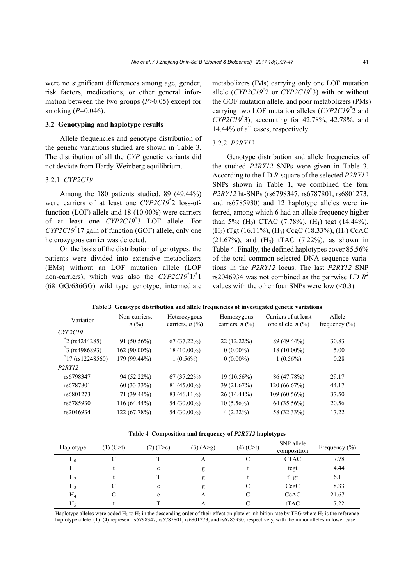were no significant differences among age, gender, risk factors, medications, or other general information between the two groups (*P*>0.05) except for smoking (*P*=0.046).

## **3.2 Genotyping and haplotype results**

Allele frequencies and genotype distribution of the genetic variations studied are shown in Table 3. The distribution of all the *CYP* genetic variants did not deviate from Hardy-Weinberg equilibrium.

## 3.2.1 *CYP2C19*

Among the 180 patients studied, 89 (49.44%) were carriers of at least one *CYP2C19*\* 2 loss-offunction (LOF) allele and 18 (10.00%) were carriers of at least one *CYP2C19*\* 3 LOF allele. For *CYP2C19*\* 17 gain of function (GOF) allele, only one heterozygous carrier was detected.

On the basis of the distribution of genotypes, the patients were divided into extensive metabolizers (EMs) without an LOF mutation allele (LOF non-carriers), which was also the *CYP2C19*<sup>\*</sup>1/<sup>\*</sup>1 (681GG/636GG) wild type genotype, intermediate

metabolizers (IMs) carrying only one LOF mutation allele (*CYP2C19*\* 2 or *CYP2C19*\* 3) with or without the GOF mutation allele, and poor metabolizers (PMs) carrying two LOF mutation alleles (*CYP2C19*\* 2 and *CYP2C19*\* 3), accounting for 42.78%, 42.78%, and 14.44% of all cases, respectively.

## 3.2.2 *P2RY12*

Genotype distribution and allele frequencies of the studied *P2RY12* SNPs were given in Table 3. According to the LD *R*-square of the selected *P2RY12*  SNPs shown in Table 1, we combined the four *P2RY12* ht-SNPs (rs6798347, rs6787801, rs6801273, and rs6785930) and 12 haplotype alleles were inferred, among which 6 had an allele frequency higher than 5%: (H<sub>0</sub>) CTAC (7.78%), (H<sub>1</sub>) tcgt (14.44%), (H2) tTgt (16.11%), (H3) CcgC (18.33%), (H4) CcAC  $(21.67\%)$ , and  $(H_5)$  tTAC  $(7.22\%)$ , as shown in Table 4. Finally, the defined haplotypes cover 85.56% of the total common selected DNA sequence variations in the *P2RY12* locus. The last *P2RY12* SNP rs2046934 was not combined as the pairwise LD  $R^2$ values with the other four SNPs were low  $(<0.3)$ .

|  |  |  | Table 3 Genotype distribution and allele frequencies of investigated genetic variations |
|--|--|--|-----------------------------------------------------------------------------------------|
|  |  |  |                                                                                         |

| Variation                    | Non-carriers.  | Heterozygous                             | Homozygous                               | Carriers of at least                       | Allele            |
|------------------------------|----------------|------------------------------------------|------------------------------------------|--------------------------------------------|-------------------|
|                              | $n\ (\%)$      | carriers, $n$ $\left(\frac{9}{0}\right)$ | carriers, $n$ $\left(\frac{9}{0}\right)$ | one allele, $n$ $\left(\frac{9}{6}\right)$ | frequency $(\% )$ |
| CYP2C19                      |                |                                          |                                          |                                            |                   |
| $i$ <sup>2</sup> (rs4244285) | $91(50.56\%)$  | 67(37.22%)                               | 22 (12.22%)                              | 89 (49.44%)                                | 30.83             |
| $*$ 3 (rs4986893)            | 162 (90.00%)   | 18 (10.00%)                              | $0(0.00\%)$                              | $18(10.00\%)$                              | 5.00              |
| $*17$ (rs12248560)           | 179 (99.44%)   | $1(0.56\%)$                              | $0(0.00\%)$                              | $1(0.56\%)$                                | 0.28              |
| P2RY12                       |                |                                          |                                          |                                            |                   |
| rs6798347                    | 94 (52.22%)    | 67(37.22%)                               | $19(10.56\%)$                            | 86 (47.78%)                                | 29.17             |
| rs6787801                    | $60(33.33\%)$  | 81 (45.00%)                              | 39 (21.67%)                              | 120 (66.67%)                               | 44.17             |
| rs6801273                    | 71 (39.44%)    | 83 (46.11%)                              | $26(14.44\%)$                            | $109(60.56\%)$                             | 37.50             |
| rs6785930                    | $116(64.44\%)$ | 54 (30.00%)                              | $10(5.56\%)$                             | 64 (35.56%)                                | 20.56             |
| rs2046934                    | 122 (67.78%)   | 54 (30.00%)                              | $4(2.22\%)$                              | 58 (32.33%)                                | 17.22             |

**Table 4 Composition and frequency of** *P2RY12* **haplotypes**

| Haplotype      | $(1)$ (C>t) | $(2)$ (T > c) | (3) (A>g) | (4) (C>t) | SNP allele<br>composition | Frequency $(\% )$ |
|----------------|-------------|---------------|-----------|-----------|---------------------------|-------------------|
| $H_0$          |             |               | A         |           | <b>CTAC</b>               | 7.78              |
| $H_1$          |             | $\mathbf c$   | g         |           | tcgt                      | 14.44             |
| H <sub>2</sub> |             |               | g         |           | tTgt                      | 16.11             |
| H <sub>3</sub> |             | $\mathbf c$   | g         |           | Ccgc                      | 18.33             |
| $H_4$          |             | c             | A         |           | CcAC                      | 21.67             |
| $H_5$          |             |               | А         |           | tTAC                      | 7.22              |

Haplotype alleles were coded H<sub>1</sub> to H<sub>5</sub> in the descending order of their effect on platelet inhibition rate by TEG where H<sub>0</sub> is the reference haplotype allele. (1)–(4) represent rs6798347, rs6787801, rs6801273, and rs6785930, respectively, with the minor alleles in lower case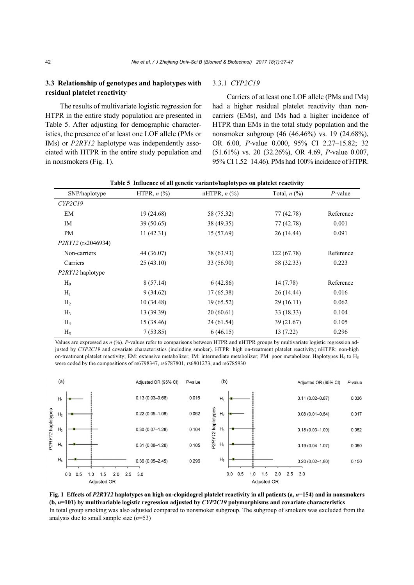## **3.3 Relationship of genotypes and haplotypes with residual platelet reactivity**

The results of multivariate logistic regression for HTPR in the entire study population are presented in Table 5. After adjusting for demographic characteristics, the presence of at least one LOF allele (PMs or IMs) or *P2RY12* haplotype was independently associated with HTPR in the entire study population and in nonsmokers (Fig. 1).

## 3.3.1 *CYP2C19*

Carriers of at least one LOF allele (PMs and IMs) had a higher residual platelet reactivity than noncarriers (EMs), and IMs had a higher incidence of HTPR than EMs in the total study population and the nonsmoker subgroup (46 (46.46%) vs. 19 (24.68%), OR 6.00, *P-*value 0.000, 95% CI 2.27‒15.82; 32 (51.61%) vs. 20 (32.26%), OR 4.69, *P*-value 0.007, 95% CI 1.52‒14.46). PMs had 100% incidence of HTPR.

| SNP/haplotype      | HTPR, $n$ $\left(\frac{9}{6}\right)$ | nHTPR, $n$ $(\%)$ | Total, $n$ $\left(\frac{9}{6}\right)$ | $P$ -value |
|--------------------|--------------------------------------|-------------------|---------------------------------------|------------|
| CYP2C19            |                                      |                   |                                       |            |
| EM                 | 19(24.68)                            | 58 (75.32)        | 77 (42.78)                            | Reference  |
| IM                 | 39(50.65)                            | 38 (49.35)        | 77 (42.78)                            | 0.001      |
| PM                 | 11(42.31)                            | 15(57.69)         | 26(14.44)                             | 0.091      |
| P2RY12 (rs2046934) |                                      |                   |                                       |            |
| Non-carriers       | 44 (36.07)                           | 78 (63.93)        | 122(67.78)                            | Reference  |
| Carriers           | 25(43.10)                            | 33 (56.90)        | 58 (32.33)                            | 0.223      |
| P2RY12 haplotype   |                                      |                   |                                       |            |
| $H_0$              | 8(57.14)                             | 6(42.86)          | 14(7.78)                              | Reference  |
| $H_1$              | 9(34.62)                             | 17(65.38)         | 26(14.44)                             | 0.016      |
| H <sub>2</sub>     | 10(34.48)                            | 19(65.52)         | 29(16.11)                             | 0.062      |
| $H_3$              | 13(39.39)                            | 20(60.61)         | 33(18.33)                             | 0.104      |
| $H_4$              | 15(38.46)                            | 24 (61.54)        | 39(21.67)                             | 0.105      |
| $H_5$              | 7(53.85)                             | 6(46.15)          | 13(7.22)                              | 0.296      |

| Table 5 Influence of all genetic variants/haplotypes on platelet reactivity |  |  |  |  |
|-----------------------------------------------------------------------------|--|--|--|--|
|                                                                             |  |  |  |  |

Values are expressed as *n* (%). *P*-values refer to comparisons between HTPR and nHTPR groups by multivariate logistic regression adjusted by *CYP2C19* and covariate characteristics (including smoker). HTPR: high on-treatment platelet reactivity; nHTPR: non-high on-treatment platelet reactivity; EM: extensive metabolizer; IM: intermediate metabolizer; PM: poor metabolizer. Haplotypes  $H_0$  to  $H_5$ were coded by the compositions of rs6798347, rs6787801, rs6801273, and rs6785930



**Fig. 1** Effects of *P2RY12* haplotypes on high on-clopidogrel platelet reactivity in all patients (a,  $n=154$ ) and in nonsmokers **(b,** *n***=101) by multivariable logistic regression adjusted by** *CYP2C19* **polymorphisms and covariate characteristics**  In total group smoking was also adjusted compared to nonsmoker subgroup. The subgroup of smokers was excluded from the analysis due to small sample size (*n*=53)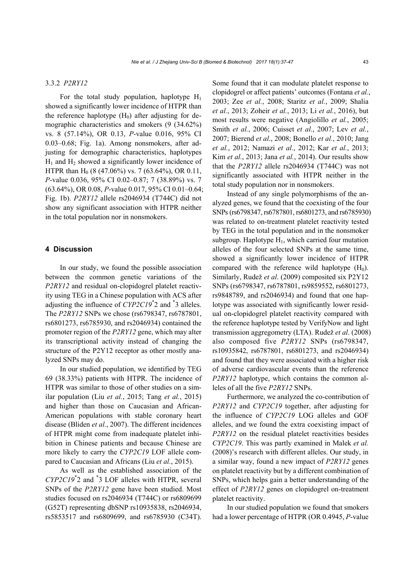#### 3.3.2 *P2RY12*

For the total study population, haplotype  $H_1$ showed a significantly lower incidence of HTPR than the reference haplotype  $(H_0)$  after adjusting for demographic characteristics and smokers (9 (34.62%) vs. 8 (57.14%), OR 0.13, *P*-value 0.016, 95% CI 0.03–0.68; Fig. 1a). Among nonsmokers, after adjusting for demographic characteristics, haplotypes  $H_1$  and  $H_2$  showed a significantly lower incidence of HTPR than H<sub>0</sub> (8 (47.06%) vs. 7 (63.64%), OR 0.11, *P*-value 0.036, 95% CI 0.02–0.87; 7 (38.89%) vs. 7 (63.64%), OR 0.08, *P*-value 0.017, 95% CI 0.01–0.64; Fig. 1b). *P2RY12* allele rs2046934 (T744C) did not show any significant association with HTPR neither in the total population nor in nonsmokers.

## **4 Discussion**

In our study, we found the possible association between the common genetic variations of the *P2RY12* and residual on-clopidogrel platelet reactivity using TEG in a Chinese population with ACS after adjusting the influence of *CYP2C19*\* 2 and \* 3 alleles. The *P2RY12* SNPs we chose (rs6798347, rs6787801, rs6801273, rs6785930, and rs2046934) contained the promoter region of the *P2RY12* gene, which may alter its transcriptional activity instead of changing the structure of the P2Y12 receptor as other mostly analyzed SNPs may do.

In our studied population, we identified by TEG 69 (38.33%) patients with HTPR. The incidence of HTPR was similar to those of other studies on a similar population (Liu *et al.*, 2015; Tang *et al.*, 2015) and higher than those on Caucasian and African-American populations with stable coronary heart disease (Bliden *et al.*, 2007). The different incidences of HTPR might come from inadequate platelet inhibition in Chinese patients and because Chinese are more likely to carry the *CYP2C19* LOF allele compared to Caucasian and Africans (Liu *et al.*, 2015).

As well as the established association of the *CYP2C19*\* 2 and \* 3 LOF alleles with HTPR, several SNPs of the *P2RY12* gene have been studied. Most studies focused on rs2046934 (T744C) or rs6809699 (G52T) representing dbSNP rs10935838, rs2046934, rs5853517 and rs6809699, and rs6785930 (C34T).

Some found that it can modulate platelet response to clopidogrel or affect patients' outcomes (Fontana *et al.*, 2003; Zee *et al.*, 2008; Staritz *et al.*, 2009; Shalia *et al.*, 2013; Zoheir *et al.*, 2013; Li *et al.*, 2016), but most results were negative (Angiolillo *et al.*, 2005; Smith *et al.*, 2006; Cuisset *et al.*, 2007; Lev *et al.*, 2007; Bierend *et al.*, 2008; Bonello *et al.*, 2010; Jang *et al.*, 2012; Namazi *et al.*, 2012; Kar *et al.*, 2013; Kim *et al.*, 2013; Jana *et al.*, 2014). Our results show that the *P2RY12* allele rs2046934 (T744C) was not significantly associated with HTPR neither in the total study population nor in nonsmokers.

Instead of any single polymorphisms of the analyzed genes, we found that the coexisting of the four SNPs (rs6798347, rs6787801, rs6801273, and rs6785930) was related to on-treatment platelet reactivity tested by TEG in the total population and in the nonsmoker subgroup. Haplotype  $H_1$ , which carried four mutation alleles of the four selected SNPs at the same time, showed a significantly lower incidence of HTPR compared with the reference wild haplotype  $(H_0)$ . Similarly, Rudež *et al*. (2009) composited six P2Y12 SNPs (rs6798347, rs6787801, rs9859552, rs6801273, rs9848789, and rs2046934) and found that one haplotype was associated with significantly lower residual on-clopidogrel platelet reactivity compared with the reference haplotype tested by VerifyNow and light transmission aggregometry (LTA). Rudež *et al*. (2008) also composed five *P2RY12* SNPs (rs6798347, rs10935842, rs6787801, rs6801273, and rs2046934) and found that they were associated with a higher risk of adverse cardiovascular events than the reference *P2RY12* haplotype, which contains the common alleles of all the five *P2RY12* SNPs.

Furthermore, we analyzed the co-contribution of *P2RY12* and *CYP2C19* together, after adjusting for the influence of *CYP2C19* LOG alleles and GOF alleles, and we found the extra coexisting impact of *P2RY12* on the residual platelet reactivities besides *CYP2C19*. This was partly examined in Malek *et al.* (2008)'s research with different alleles. Our study, in a similar way, found a new impact of *P2RY12* genes on platelet reactivity but by a different combination of SNPs, which helps gain a better understanding of the effect of *P2RY12* genes on clopidogrel on-treatment platelet reactivity.

In our studied population we found that smokers had a lower percentage of HTPR (OR 0.4945, *P*-value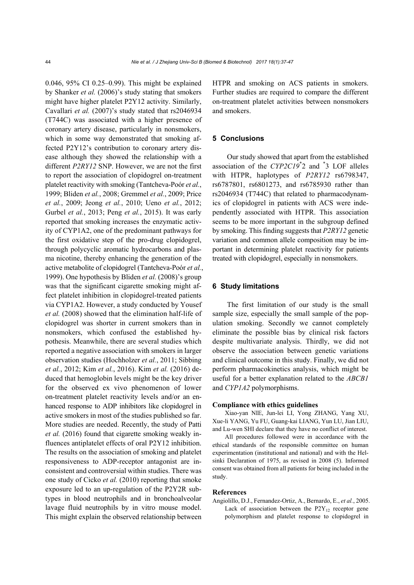0.046, 95% CI 0.25–0.99). This might be explained by Shanker *et al.* (2006)'s study stating that smokers might have higher platelet P2Y12 activity. Similarly, Cavallari *et al.* (2007)'s study stated that rs2046934 (T744C) was associated with a higher presence of coronary artery disease, particularly in nonsmokers, which in some way demonstrated that smoking affected P2Y12's contribution to coronary artery disease although they showed the relationship with a different *P2RY12* SNP. However, we are not the first to report the association of clopidogrel on-treatment platelet reactivity with smoking (Tantcheva-Poór *et al.*, 1999; Bliden *et al.*, 2008; Gremmel *et al.*, 2009; Price *et al.*, 2009; Jeong *et al.*, 2010; Ueno *et al.*, 2012; Gurbel *et al.*, 2013; Peng *et al.*, 2015). It was early reported that smoking increases the enzymatic activity of CYP1A2, one of the predominant pathways for the first oxidative step of the pro-drug clopidogrel, through polycyclic aromatic hydrocarbons and plasma nicotine, thereby enhancing the generation of the active metabolite of clopidogrel (Tantcheva-Poór *et al.*, 1999). One hypothesis by Bliden *et al.* (2008)'s group was that the significant cigarette smoking might affect platelet inhibition in clopidogrel-treated patients via CYP1A2. However, a study conducted by Yousef *et al.* (2008) showed that the elimination half-life of clopidogrel was shorter in current smokers than in nonsmokers, which confused the established hypothesis. Meanwhile, there are several studies which reported a negative association with smokers in larger observation studies (Hochholzer *et al.*, 2011; Sibbing *et al.*, 2012; Kim *et al.*, 2016). Kim *et al.* (2016) deduced that hemoglobin levels might be the key driver for the observed ex vivo phenomenon of lower on-treatment platelet reactivity levels and/or an enhanced response to ADP inhibitors like clopidogrel in active smokers in most of the studies published so far. More studies are needed. Recently, the study of Patti *et al.* (2016) found that cigarette smoking weakly influences antiplatelet effects of oral P2Y12 inhibition. The results on the association of smoking and platelet responsiveness to ADP-receptor antagonist are inconsistent and controversial within studies. There was one study of Cicko *et al.* (2010) reporting that smoke exposure led to an up-regulation of the P2Y2R subtypes in blood neutrophils and in bronchoalveolar lavage fluid neutrophils by in vitro mouse model. This might explain the observed relationship between

HTPR and smoking on ACS patients in smokers. Further studies are required to compare the different on-treatment platelet activities between nonsmokers and smokers.

#### **5 Conclusions**

Our study showed that apart from the established association of the *CYP2C19*\* 2 and \* 3 LOF alleles with HTPR, haplotypes of *P2RY12* rs6798347, rs6787801, rs6801273, and rs6785930 rather than rs2046934 (T744C) that related to pharmacodynamics of clopidogrel in patients with ACS were independently associated with HTPR. This association seems to be more important in the subgroup defined by smoking. This finding suggests that *P2RY12* genetic variation and common allele composition may be important in determining platelet reactivity for patients treated with clopidogrel, especially in nonsmokers.

#### **6 Study limitations**

The first limitation of our study is the small sample size, especially the small sample of the population smoking. Secondly we cannot completely eliminate the possible bias by clinical risk factors despite multivariate analysis. Thirdly, we did not observe the association between genetic variations and clinical outcome in this study. Finally, we did not perform pharmacokinetics analysis, which might be useful for a better explanation related to the *ABCB1* and *CYP1A2* polymorphisms.

#### **Compliance with ethics guidelines**

Xiao-yan NIE, Jun-lei LI, Yong ZHANG, Yang XU, Xue-li YANG, Yu FU, Guang-kai LIANG, Yun LU, Jian LIU, and Lu-wen SHI declare that they have no conflict of interest.

All procedures followed were in accordance with the ethical standards of the responsible committee on human experimentation (institutional and national) and with the Helsinki Declaration of 1975, as revised in 2008 (5). Informed consent was obtained from all patients for being included in the study.

#### **References**

Angiolillo, D.J., Fernandez-Ortiz, A., Bernardo, E., *et al.*, 2005. Lack of association between the  $P2Y_{12}$  receptor gene polymorphism and platelet response to clopidogrel in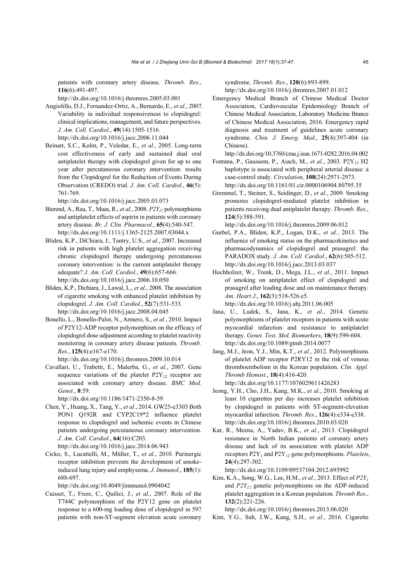patients with coronary artery disease. *Thromb. Res*., **116**(6):491-497.

http://dx.doi.org/10.1016/j.thromres.2005.03.001

- Angiolillo, D.J., Fernandez-Ortiz, A., Bernardo, E., *et al.*, 2007. Variability in individual responsiveness to clopidogrel: clinical implications, management, and future perspectives. *J. Am. Coll. Cardiol*., **49**(14):1505-1516. http://dx.doi.org/10.1016/j.jacc.2006.11.044
- Beinart, S.C., Kolm, P., Veledar, E., *et al.*, 2005. Long-term cost effectiveness of early and sustained dual oral antiplatelet therapy with clopidogrel given for up to one year after percutaneous coronary intervention: results from the Clopidogrel for the Reduction of Events During Observation (CREDO) trial. *J. Am. Coll. Cardiol*., **46**(5): 761-769.

http://dx.doi.org/10.1016/j.jacc.2005.03.073

- Bierend, A., Rau, T., Maas, R., *et al.*, 2008. *P2Y12* polymorphisms and antiplatelet effects of aspirin in patients with coronary artery disease. *Br. J. Clin. Pharmacol*., **65**(4):540-547. http://dx.doi.org/10.1111/j.1365-2125.2007.03044.x
- Bliden, K.P., DiChiara, J., Tantry, U.S., *et al.*, 2007. Increased risk in patients with high platelet aggregation receiving chronic clopidogrel therapy undergoing percutaneous coronary intervention: is the current antiplatelet therapy adequate? *J. Am. Coll. Cardiol*., **49**(6):657-666. http://dx.doi.org/10.1016/j.jacc.2006.10.050
- Bliden, K.P., Dichiara, J., Lawal, L., *et al.*, 2008. The association of cigarette smoking with enhanced platelet inhibition by clopidogrel. *J. Am. Coll. Cardiol*., **52**(7):531-533. http://dx.doi.org/10.1016/j.jacc.2008.04.045
- Bonello, L., Bonello-Palot, N., Armero, S., *et al.*, 2010. Impact of P2Y12-ADP receptor polymorphism on the efficacy of clopidogrel dose-adjustment according to platelet reactivity monitoring in coronary artery disease patients. *Thromb. Res*., **125**(4):e167-e170. http://dx.doi.org/10.1016/j.thromres.2009.10.014
- Cavallari, U., Trabetti, E., Malerba, G., *et al.*, 2007. Gene sequence variations of the platelet  $P2Y_{12}$  receptor are associated with coronary artery disease. *BMC Med. Genet*., **8**:59.

http://dx.doi.org/10.1186/1471-2350-8-59

Chen, Y., Huang, X., Tang, Y., *et al.*, 2014. GW25-e3303 Both PON1 Q192R and CYP2C19\*2 influence platelet response to clopidogrel and ischemic events in Chinese patients undergoing percutaneous coronary intervention. *J. Am. Coll. Cardiol*., **64**(16):C203.

http://dx.doi.org/10.1016/j.jacc.2014.06.943

Cicko, S., Lucattelli, M., Müller, T., *et al.*, 2010. Purinergic receptor inhibition prevents the development of smokeinduced lung injury and emphysema. *J. Immunol*., **185**(1): 688-697.

http://dx.doi.org/10.4049/jimmunol.0904042

Cuisset, T., Frere, C., Quilici, J., *et al.*, 2007. Role of the T744C polymorphism of the P2Y12 gene on platelet response to a 600-mg loading dose of clopidogrel in 597 patients with non-ST-segment elevation acute coronary syndrome. *Thromb. Res*., **120**(6):893-899. http://dx.doi.org/10.1016/j.thromres.2007.01.012

Emergency Medical Branch of Chinese Medical Doctor Association, Cardiovascular Epidemiology Branch of Chinese Medical Association, Laboratory Medicine Brance of Chinese Medical Association, 2016. Emergency rapid diagnosis and treatment of guidelines acute coronary syndrome. *Chin. J. Emerg. Med*., **25**(4):397-404 (in Chinese).

http://dx.doi.org/10.3760/cma.j.issn.1671-0282.2016.04.002

- Fontana, P., Gaussem, P., Aiach, M., *et al.*, 2003. P2Y<sub>12</sub> H2 haplotype is associated with peripheral arterial disease: a case-control study. *Circulation*, **108**(24):2971-2973. http://dx.doi.org/10.1161/01.cir.0000106904.80795.35
- Gremmel, T., Steiner, S., Seidinger, D., *et al.*, 2009. Smoking promotes clopidogrel-mediated platelet inhibition in patients receiving dual antiplatelet therapy. *Thromb. Res*., **124**(5):588-591.

http://dx.doi.org/10.1016/j.thromres.2009.06.012

- Gurbel, P.A., Bliden, K.P., Logan, D.K., *et al.*, 2013. The influence of smoking status on the pharmacokinetics and pharmacodynamics of clopidogrel and prasugrel: the PARADOX study. *J. Am. Coll. Cardiol*., **62**(6):505-512. http://dx.doi.org/10.1016/j.jacc.2013.03.037
- Hochholzer, W., Trenk, D., Mega, J.L., *et al.*, 2011. Impact of smoking on antiplatelet effect of clopidogrel and prasugrel after loading dose and on maintenance therapy. *Am. Heart J*., **162**(3):518-526.e5. http://dx.doi.org/10.1016/j.ahj.2011.06.005
- Jana, U., Ludek, S., Jana, K., *et al.*, 2014. Genetic polymorphisms of platelet receptors in patients with acute myocardial infarction and resistance to antiplatelet therapy. *Genet. Test. Mol. Biomarkers*, **18**(9):599-604. http://dx.doi.org/10.1089/gtmb.2014.0077
- Jang, M.J., Jeon, Y.J., Min, K.T., *et al.*, 2012. Polymorphisms of platelet ADP receptor P2RY12 in the risk of venous thromboembolism in the Korean population. *Clin. Appl. Thromb Hemost*., **18**(4):416-420. http://dx.doi.org/10.1177/1076029611426283
- Jeong, Y.H., Cho, J.H., Kang, M.K., *et al.*, 2010. Smoking at least 10 cigarettes per day increases platelet inhibition by clopidogrel in patients with ST-segment-elevation myocardial infarction. *Thromb. Res*., **126**(4):e334-e338. http://dx.doi.org/10.1016/j.thromres.2010.03.020
- Kar, R., Meena, A., Yadav, B.K., *et al.*, 2013. Clopidogrel resistance in North Indian patients of coronary artery disease and lack of its association with platelet ADP receptors P2Y<sub>1</sub> and P2Y<sub>12</sub> gene polymorphisms. *Platelets*, **24**(4):297-302.

http://dx.doi.org/10.3109/09537104.2012.693992

Kim, K.A., Song, W.G., Lee, H.M., *et al.*, 2013. Effect of *P2Y1* and  $P2Y_1$ <sub>2</sub> genetic polymorphisms on the ADP-induced platelet aggregation in a Korean population. *Thromb Res*., **132**(2):221-226.

http://dx.doi.org/10.1016/j.thromres.2013.06.020

Kim, Y.G., Suh, J.W., Kang, S.H., *et al.*, 2016. Cigarette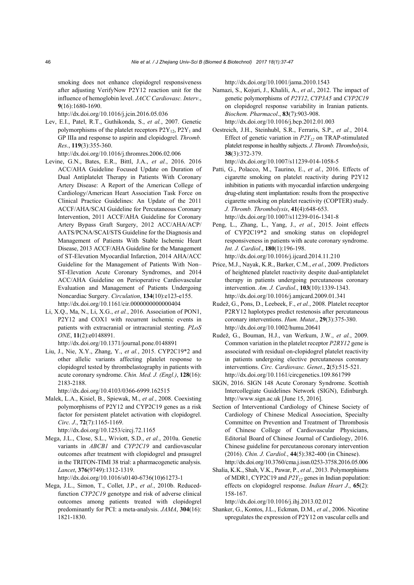smoking does not enhance clopidogrel responsiveness after adjusting VerifyNow P2Y12 reaction unit for the influence of hemoglobin level. *JACC Cardiovasc. Interv*., **9**(16):1680-1690.

http://dx.doi.org/10.1016/j.jcin.2016.05.036

Lev, E.I., Patel, R.T., Guthikonda, S., *et al.*, 2007. Genetic polymorphisms of the platelet receptors  $P2Y_{12}$ ,  $P2Y_1$  and GP IIIa and response to aspirin and clopidogrel. *Thromb. Res*., **119**(3):355-360.

http://dx.doi.org/10.1016/j.thromres.2006.02.006

- Levine, G.N., Bates, E.R., Bittl, J.A., *et al.*, 2016. 2016 ACC/AHA Guideline Focused Update on Duration of Dual Antiplatelet Therapy in Patients With Coronary Artery Disease: A Report of the American College of Cardiology/American Heart Association Task Force on Clinical Practice Guidelines: An Update of the 2011 ACCF/AHA/SCAI Guideline for Percutaneous Coronary Intervention, 2011 ACCF/AHA Guideline for Coronary Artery Bypass Graft Surgery, 2012 ACC/AHA/ACP/ AATS/PCNA/SCAI/STS Guideline for the Diagnosis and Management of Patients With Stable Ischemic Heart Disease, 2013 ACCF/AHA Guideline for the Management of ST-Elevation Myocardial Infarction, 2014 AHA/ACC Guideline for the Management of Patients With Non– ST-Elevation Acute Coronary Syndromes, and 2014 ACC/AHA Guideline on Perioperative Cardiovascular Evaluation and Management of Patients Undergoing Noncardiac Surgery. *Circulation*, **134**(10):e123-e155. http://dx.doi.org/10.1161/cir.0000000000000404
- Li, X.Q., Ma, N., Li, X.G., *et al.*, 2016. Association of PON1, P2Y12 and COX1 with recurrent ischemic events in patients with extracranial or intracranial stenting. *PLoS ONE*, **11**(2):e0148891.

http://dx.doi.org/10.1371/journal.pone.0148891

Liu, J., Nie, X.Y., Zhang, Y., *et al.*, 2015. CYP2C19\*2 and other allelic variants affecting platelet response to clopidogrel tested by thrombelastography in patients with acute coronary syndrome. *Chin. Med. J. (Engl.)*, **128**(16): 2183-2188.

http://dx.doi.org/10.4103/0366-6999.162515

Malek, L.A., Kisiel, B., Spiewak, M., *et al.*, 2008. Coexisting polymorphisms of P2Y12 and CYP2C19 genes as a risk factor for persistent platelet activation with clopidogrel. *Circ. J*., **72**(7):1165-1169.

http://dx.doi.org/10.1253/circj.72.1165

Mega, J.L., Close, S.L., Wiviott, S.D., *et al.*, 2010a. Genetic variants in *ABCB1* and *CYP2C19* and cardiovascular outcomes after treatment with clopidogrel and prasugrel in the TRITON-TIMI 38 trial: a pharmacogenetic analysis. *Lancet*, **376**(9749):1312-1319.

http://dx.doi.org/10.1016/s0140-6736(10)61273-1

Mega, J.L., Simon, T., Collet, J.P., *et al.*, 2010b. Reducedfunction *CYP2C19* genotype and risk of adverse clinical outcomes among patients treated with clopidogrel predominantly for PCI: a meta-analysis. *JAMA*, **304**(16): 1821-1830.

http://dx.doi.org/10.1001/jama.2010.1543

- Namazi, S., Kojuri, J., Khalili, A., *et al*., 2012. The impact of genetic polymorphisms of *P2Y12*, *CYP3A5* and *CYP2C19* on clopidogrel response variability in Iranian patients. *Biochem. Pharmacol*., **83**(7):903-908. http://dx.doi.org/10.1016/j.bcp.2012.01.003
- Oestreich, J.H., Steinhubl, S.R., Ferraris, S.P., *et al.*, 2014. Effect of genetic variation in  $P2Y_1$ <sub>2</sub> on TRAP-stimulated platelet response in healthy subjects. *J. Thromb. Thrombolysis*, **38**(3):372-379.

http://dx.doi.org/10.1007/s11239-014-1058-5

- Patti, G., Polacco, M., Taurino, E., *et al.*, 2016. Effects of cigarette smoking on platelet reactivity during P2Y12 inhibition in patients with myocardial infarction undergoing drug-eluting stent implantation: results from the prospective cigarette smoking on platelet reactivity (COPTER) study. *J. Thromb. Thrombolysis*, **41**(4):648-653. http://dx.doi.org/10.1007/s11239-016-1341-8
- Peng, L., Zhang, L., Yang, J., *et al.*, 2015. Joint effects of CYP2C19\*2 and smoking status on clopidogrel responsiveness in patients with acute coronary syndrome. *Int. J. Cardiol*., **180**(1):196-198. http://dx.doi.org/10.1016/j.ijcard.2014.11.210
- Price, M.J., Nayak, K.R., Barker, C.M., *et al.*, 2009. Predictors of heightened platelet reactivity despite dual-antiplatelet therapy in patients undergoing percutaneous coronary intervention. *Am. J. Cardiol*., **103**(10):1339-1343. http://dx.doi.org/10.1016/j.amjcard.2009.01.341
- Rudež, G., Pons, D., Leebeek, F., *et al.*, 2008. Platelet receptor P2RY12 haplotypes predict restenosis after percutaneous coronary interventions. *Hum. Mutat*., **29**(3):375-380. http://dx.doi.org/10.1002/humu.20641
- Rudež, G., Bouman, H.J., van Werkum, J.W., *et al.*, 2009. Common variation in the platelet receptor *P2RY12* gene is associated with residual on-clopidogrel platelet reactivity in patients undergoing elective percutaneous coronary interventions. *Circ. Cardiovasc. Genet*., **2**(5):515-521. http://dx.doi.org/10.1161/circgenetics.109.861799
- SIGN, 2016. SIGN 148 Acute Coronary Syndrome. Scottish Intercollegiate Guidelines Network (SIGN), Edinburgh. http://www.sign.ac.uk [June 15, 2016].
- Section of Interventional Cardiology of Chinese Society of Cardiology of Chinese Medical Association, Specialty Committee on Prevention and Treatment of Thrombosis of Chinese College of Cardiovascular Physicians, Editorial Board of Chinese Journal of Cardiology, 2016. Chinese guideline for percutaneous coronary intervention (2016). *Chin. J. Cardiol.*, **44**(5):382-400 (in Chinese). http://dx.doi.org/10.3760/cma.j.issn.0253-3758.2016.05.006
- Shalia, K.K., Shah, V.K., Pawar, P., *et al.*, 2013. Polymorphisms of MDR1, CYP2C19 and  $P2Y_1$  genes in Indian population: effects on clopidogrel response. *Indian Heart J*., **65**(2): 158-167.

http://dx.doi.org/10.1016/j.ihj.2013.02.012

Shanker, G., Kontos, J.L., Eckman, D.M., *et al.*, 2006. Nicotine upregulates the expression of P2Y12 on vascular cells and